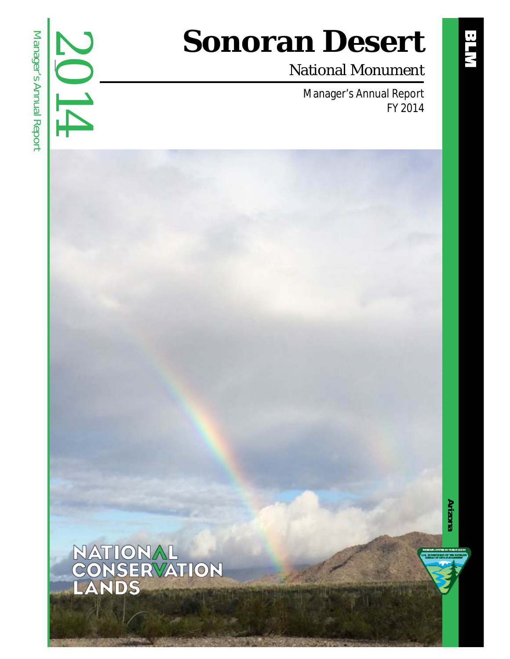# 2014 Manager's Annual Report Manager's Annual Report

# **Sonoran Desert**

### National Monument

Manager's Annual Report FY 2014



**Arizona**

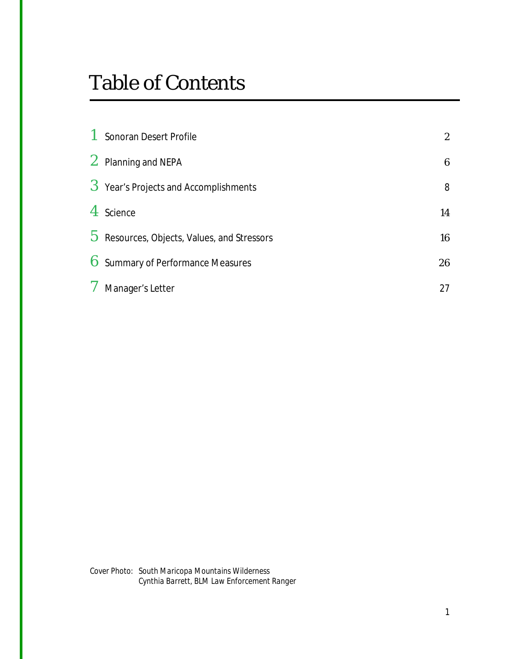### Table of Contents

|       | 1 Sonoran Desert Profile                      | $\mathbf{2}$ |
|-------|-----------------------------------------------|--------------|
|       | 2 Planning and NEPA                           | 6            |
|       | 3 Year's Projects and Accomplishments         | 8            |
|       | 4 Science                                     | 14           |
|       | $5$ Resources, Objects, Values, and Stressors | 16           |
|       | 6 Summary of Performance Measures             | 26           |
| $7\,$ | Manager's Letter                              | 27           |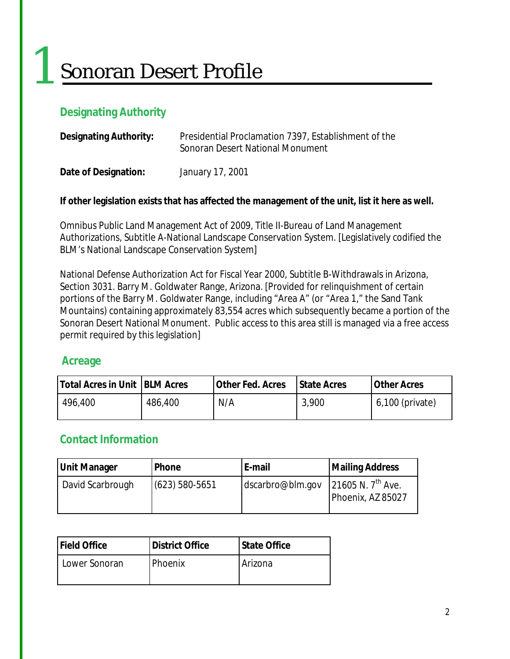# Sonoran Desert Profile

#### **Designating Authority**

1

| <b>Designating Authority:</b> | Presidential Proclamation 7397, Establishment of the<br>Sonoran Desert National Monument |  |
|-------------------------------|------------------------------------------------------------------------------------------|--|
| Date of Designation:          | January 17, 2001                                                                         |  |

#### **If other legislation exists that has affected the management of the unit, list it here as well.**

Omnibus Public Land Management Act of 2009, Title II-Bureau of Land Management Authorizations, Subtitle A-National Landscape Conservation System. [Legislatively codified the BLM's National Landscape Conservation System]

National Defense Authorization Act for Fiscal Year 2000, Subtitle B-Withdrawals in Arizona, Section 3031. Barry M. Goldwater Range, Arizona. [Provided for relinquishment of certain portions of the Barry M. Goldwater Range, including "Area A" (or "Area 1," the Sand Tank Mountains) containing approximately 83,554 acres which subsequently became a portion of the Sonoran Desert National Monument. Public access to this area still is managed via a free access permit required by this legislation]

#### **Acreage**

| <b>Total Acres in Unit   BLM Acres</b> |         | <b>Other Fed. Acres</b> | <b>State Acres</b> | <b>Other Acres</b> |
|----------------------------------------|---------|-------------------------|--------------------|--------------------|
| 496,400                                | 486,400 | N/A                     | 3,900              | 6,100 (private)    |

#### **Contact Information**

| Unit Manager     | Phone            | E-mail           | <b>Mailing Address</b>                      |
|------------------|------------------|------------------|---------------------------------------------|
| David Scarbrough | $(623)$ 580-5651 | dscarbro@blm.gov | 21605 N. $7^{th}$ Ave.<br>Phoenix, AZ 85027 |

| <b>Field Office</b> | <b>IDistrict Office</b> | <b>State Office</b> |
|---------------------|-------------------------|---------------------|
| Lower Sonoran       | <b>Phoenix</b>          | Arizona             |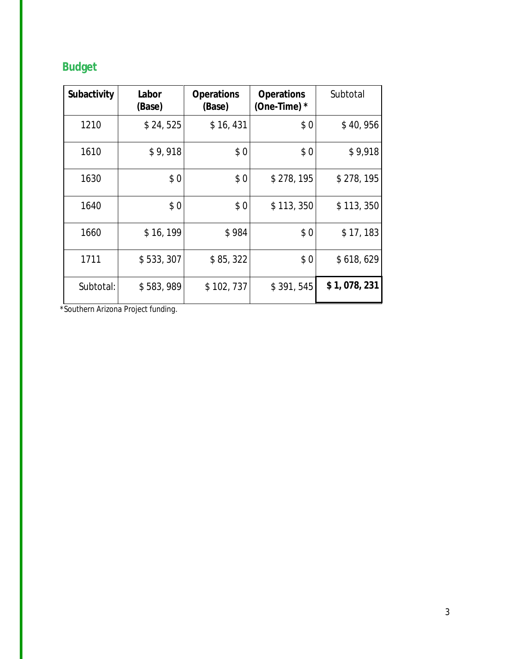### **Budget**

| Subactivity | Labor<br>(Base) | <b>Operations</b><br>(Base) | <b>Operations</b><br>(One-Time) $*$ | Subtotal    |
|-------------|-----------------|-----------------------------|-------------------------------------|-------------|
| 1210        | \$24,525        | \$16, 431                   | \$0                                 | \$40,956    |
| 1610        | \$9,918         | \$0                         | \$0                                 | \$9,918     |
| 1630        | \$0             | \$0                         | \$278,195                           | \$278,195   |
| 1640        | \$0             | \$0                         | \$113,350                           | \$113,350   |
| 1660        | \$16, 199       | \$984                       | \$0                                 | \$17,183    |
| 1711        | \$533,307       | \$85,322                    | \$0                                 | \$618,629   |
| Subtotal:   | \$583,989       | \$102,737                   | \$391,545                           | \$1,078,231 |

*\*Southern Arizona Project funding.*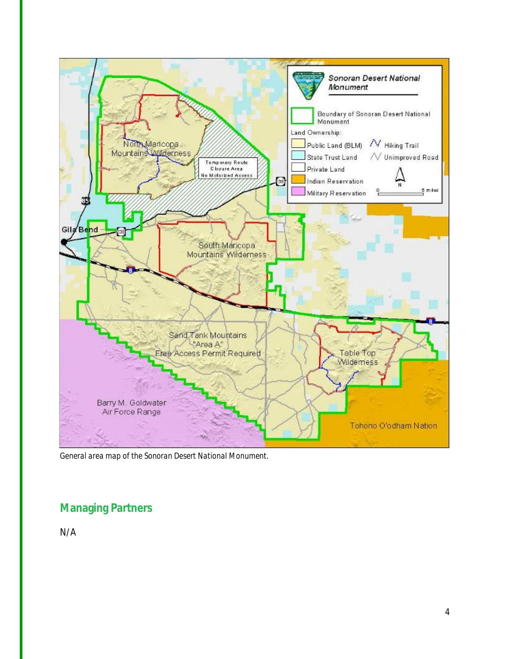

*General area map of the Sonoran Desert National Monument.*

#### **Managing Partners**

N/A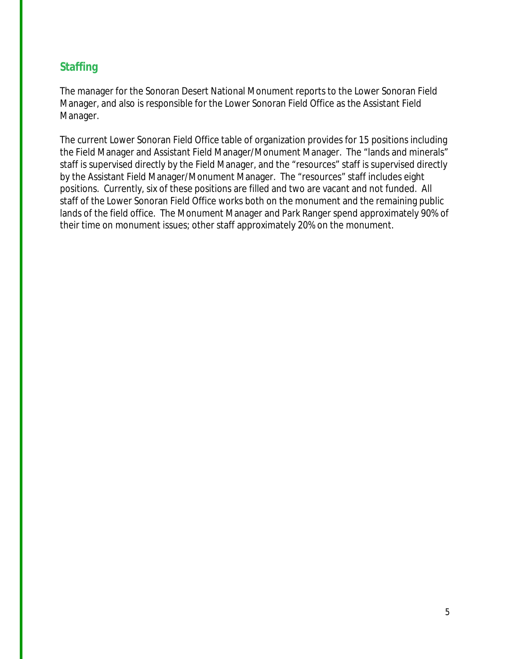#### **Staffing**

The manager for the Sonoran Desert National Monument reports to the Lower Sonoran Field Manager, and also is responsible for the Lower Sonoran Field Office as the Assistant Field Manager.

The current Lower Sonoran Field Office table of organization provides for 15 positions including the Field Manager and Assistant Field Manager/Monument Manager. The "lands and minerals" staff is supervised directly by the Field Manager, and the "resources" staff is supervised directly by the Assistant Field Manager/Monument Manager. The "resources" staff includes eight positions. Currently, six of these positions are filled and two are vacant and not funded. All staff of the Lower Sonoran Field Office works both on the monument and the remaining public lands of the field office. The Monument Manager and Park Ranger spend approximately 90% of their time on monument issues; other staff approximately 20% on the monument.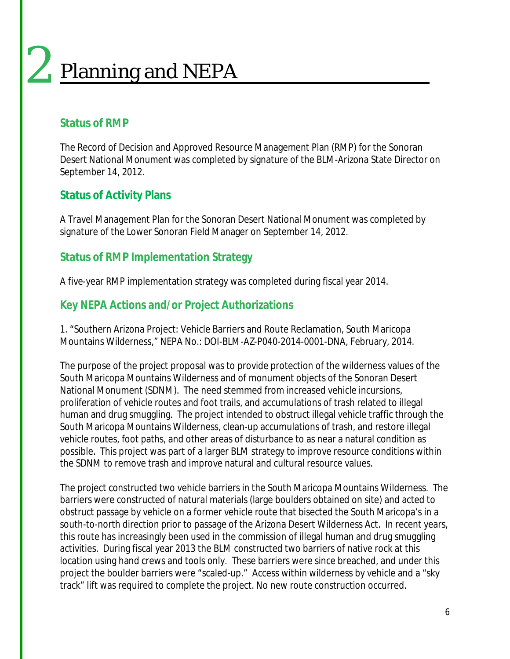### Planning and NEPA 2

#### **Status of RMP**

The Record of Decision and Approved Resource Management Plan (RMP) for the Sonoran Desert National Monument was completed by signature of the BLM-Arizona State Director on September 14, 2012.

#### **Status of Activity Plans**

A Travel Management Plan for the Sonoran Desert National Monument was completed by signature of the Lower Sonoran Field Manager on September 14, 2012.

#### **Status of RMP Implementation Strategy**

A five-year RMP implementation strategy was completed during fiscal year 2014.

#### **Key NEPA Actions and/or Project Authorizations**

1. "Southern Arizona Project: Vehicle Barriers and Route Reclamation, South Maricopa Mountains Wilderness," NEPA No.: DOI-BLM-AZ-P040-2014-0001-DNA, February, 2014.

The purpose of the project proposal was to provide protection of the wilderness values of the South Maricopa Mountains Wilderness and of monument objects of the Sonoran Desert National Monument (SDNM). The need stemmed from increased vehicle incursions, proliferation of vehicle routes and foot trails, and accumulations of trash related to illegal human and drug smuggling. The project intended to obstruct illegal vehicle traffic through the South Maricopa Mountains Wilderness, clean-up accumulations of trash, and restore illegal vehicle routes, foot paths, and other areas of disturbance to as near a natural condition as possible. This project was part of a larger BLM strategy to improve resource conditions within the SDNM to remove trash and improve natural and cultural resource values.

The project constructed two vehicle barriers in the South Maricopa Mountains Wilderness. The barriers were constructed of natural materials (large boulders obtained on site) and acted to obstruct passage by vehicle on a former vehicle route that bisected the South Maricopa's in a south-to-north direction prior to passage of the Arizona Desert Wilderness Act. In recent years, this route has increasingly been used in the commission of illegal human and drug smuggling activities. During fiscal year 2013 the BLM constructed two barriers of native rock at this location using hand crews and tools only. These barriers were since breached, and under this project the boulder barriers were "scaled-up." Access within wilderness by vehicle and a "sky track" lift was required to complete the project. No new route construction occurred.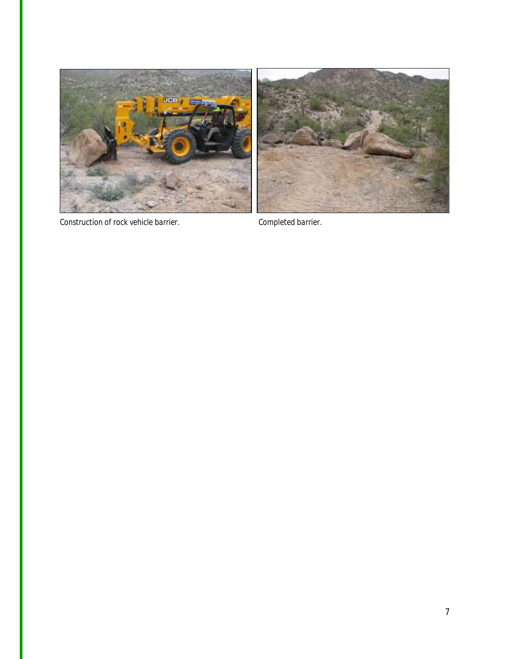

*Construction of rock vehicle barrier. Completed barrier.*

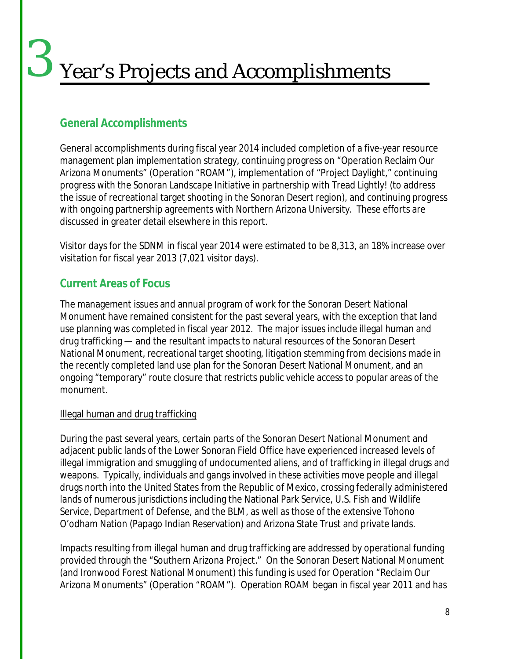## Year's Projects and Accomplishments 3

#### **General Accomplishments**

General accomplishments during fiscal year 2014 included completion of a five-year resource management plan implementation strategy, continuing progress on "Operation Reclaim Our Arizona Monuments" (Operation "ROAM"), implementation of "Project Daylight," continuing progress with the Sonoran Landscape Initiative in partnership with Tread Lightly! (to address the issue of recreational target shooting in the Sonoran Desert region), and continuing progress with ongoing partnership agreements with Northern Arizona University. These efforts are discussed in greater detail elsewhere in this report.

Visitor days for the SDNM in fiscal year 2014 were estimated to be 8,313, an 18% increase over visitation for fiscal year 2013 (7,021 visitor days).

#### **Current Areas of Focus**

The management issues and annual program of work for the Sonoran Desert National Monument have remained consistent for the past several years, with the exception that land use planning was completed in fiscal year 2012. The major issues include illegal human and drug trafficking — and the resultant impacts to natural resources of the Sonoran Desert National Monument, recreational target shooting, litigation stemming from decisions made in the recently completed land use plan for the Sonoran Desert National Monument, and an ongoing "temporary" route closure that restricts public vehicle access to popular areas of the monument.

#### Illegal human and drug trafficking

During the past several years, certain parts of the Sonoran Desert National Monument and adjacent public lands of the Lower Sonoran Field Office have experienced increased levels of illegal immigration and smuggling of undocumented aliens, and of trafficking in illegal drugs and weapons. Typically, individuals and gangs involved in these activities move people and illegal drugs north into the United States from the Republic of Mexico, crossing federally administered lands of numerous jurisdictions including the National Park Service, U.S. Fish and Wildlife Service, Department of Defense, and the BLM, as well as those of the extensive Tohono O'odham Nation (Papago Indian Reservation) and Arizona State Trust and private lands.

Impacts resulting from illegal human and drug trafficking are addressed by operational funding provided through the "Southern Arizona Project." On the Sonoran Desert National Monument (and Ironwood Forest National Monument) this funding is used for Operation "Reclaim Our Arizona Monuments" (Operation "ROAM"). Operation ROAM began in fiscal year 2011 and has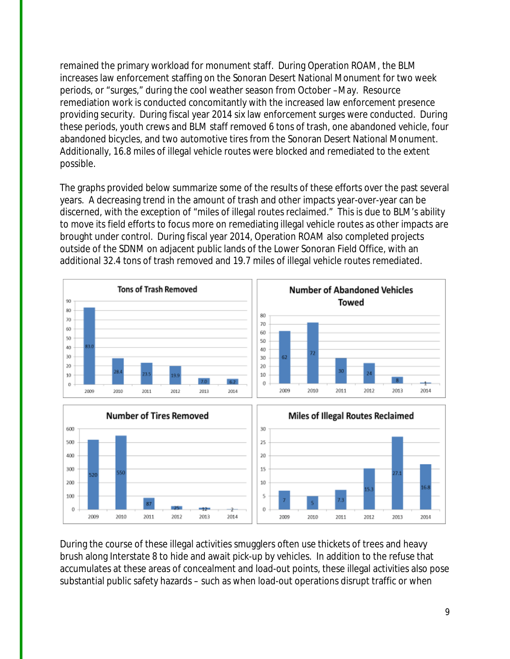remained the primary workload for monument staff. During Operation ROAM, the BLM increases law enforcement staffing on the Sonoran Desert National Monument for two week periods, or "surges," during the cool weather season from October –May. Resource remediation work is conducted concomitantly with the increased law enforcement presence providing security. During fiscal year 2014 six law enforcement surges were conducted. During these periods, youth crews and BLM staff removed 6 tons of trash, one abandoned vehicle, four abandoned bicycles, and two automotive tires from the Sonoran Desert National Monument. Additionally, 16.8 miles of illegal vehicle routes were blocked and remediated to the extent possible.

The graphs provided below summarize some of the results of these efforts over the past several years. A decreasing trend in the amount of trash and other impacts year-over-year can be discerned, with the exception of "miles of illegal routes reclaimed." This is due to BLM's ability to move its field efforts to focus more on remediating illegal vehicle routes as other impacts are brought under control. During fiscal year 2014, Operation ROAM also completed projects outside of the SDNM on adjacent public lands of the Lower Sonoran Field Office, with an additional 32.4 tons of trash removed and 19.7 miles of illegal vehicle routes remediated.





During the course of these illegal activities smugglers often use thickets of trees and heavy brush along Interstate 8 to hide and await pick-up by vehicles. In addition to the refuse that accumulates at these areas of concealment and load-out points, these illegal activities also pose substantial public safety hazards – such as when load-out operations disrupt traffic or when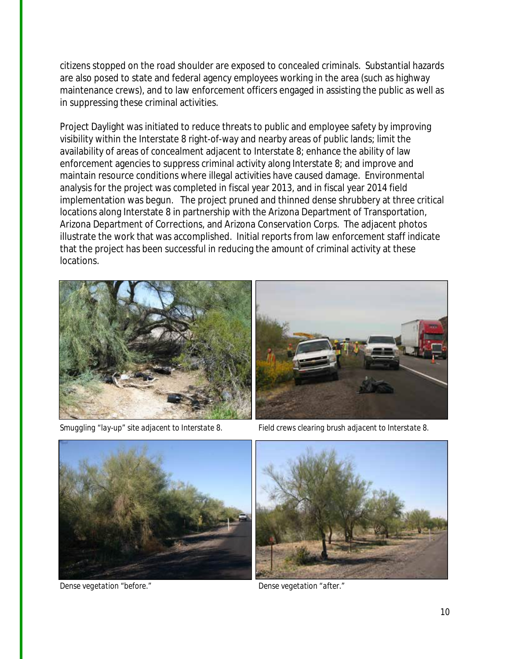citizens stopped on the road shoulder are exposed to concealed criminals. Substantial hazards are also posed to state and federal agency employees working in the area (such as highway maintenance crews), and to law enforcement officers engaged in assisting the public as well as in suppressing these criminal activities.

Project Daylight was initiated to reduce threats to public and employee safety by improving visibility within the Interstate 8 right-of-way and nearby areas of public lands; limit the availability of areas of concealment adjacent to Interstate 8; enhance the ability of law enforcement agencies to suppress criminal activity along Interstate 8; and improve and maintain resource conditions where illegal activities have caused damage. Environmental analysis for the project was completed in fiscal year 2013, and in fiscal year 2014 field implementation was begun. The project pruned and thinned dense shrubbery at three critical locations along Interstate 8 in partnership with the Arizona Department of Transportation, Arizona Department of Corrections, and Arizona Conservation Corps. The adjacent photos illustrate the work that was accomplished. Initial reports from law enforcement staff indicate that the project has been successful in reducing the amount of criminal activity at these locations.





*Smuggling "lay-up" site adjacent to Interstate 8. Field crews clearing brush adjacent to Interstate 8.*



*Dense vegetation "before." Dense vegetation "after."*

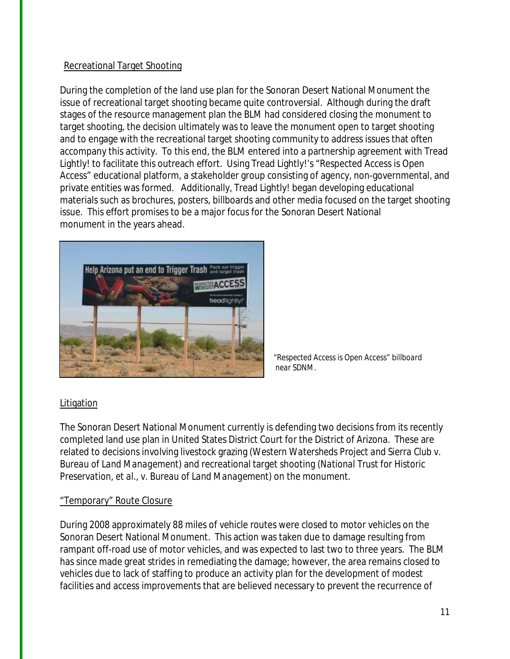#### Recreational Target Shooting

During the completion of the land use plan for the Sonoran Desert National Monument the issue of recreational target shooting became quite controversial. Although during the draft stages of the resource management plan the BLM had considered closing the monument to target shooting, the decision ultimately was to leave the monument open to target shooting and to engage with the recreational target shooting community to address issues that often accompany this activity. To this end, the BLM entered into a partnership agreement with Tread Lightly! to facilitate this outreach effort. Using Tread Lightly!'s "Respected Access is Open Access" educational platform, a stakeholder group consisting of agency, non-governmental, and private entities was formed. Additionally, Tread Lightly! began developing educational materials such as brochures, posters, billboards and other media focused on the target shooting issue. This effort promises to be a major focus for the Sonoran Desert National monument in the years ahead.



*"Respected Access is Open Access" billboard near* SDNM.

#### Litigation

The Sonoran Desert National Monument currently is defending two decisions from its recently completed land use plan in United States District Court for the District of Arizona. These are related to decisions involving livestock grazing (*Western Watersheds Project and Sierra Club v. Bureau of Land Management*) and recreational target shooting (*National Trust for Historic Preservation, et al., v. Bureau of Land Management*) on the monument.

#### "Temporary" Route Closure

During 2008 approximately 88 miles of vehicle routes were closed to motor vehicles on the Sonoran Desert National Monument. This action was taken due to damage resulting from rampant off-road use of motor vehicles, and was expected to last two to three years. The BLM has since made great strides in remediating the damage; however, the area remains closed to vehicles due to lack of staffing to produce an activity plan for the development of modest facilities and access improvements that are believed necessary to prevent the recurrence of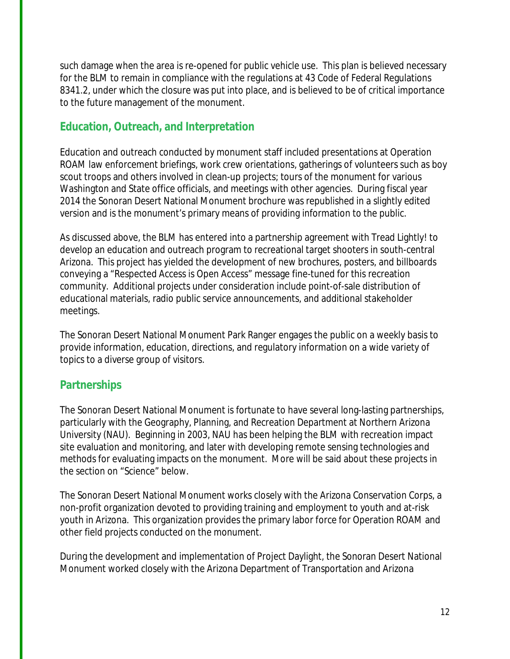such damage when the area is re-opened for public vehicle use. This plan is believed necessary for the BLM to remain in compliance with the regulations at 43 Code of Federal Regulations 8341.2, under which the closure was put into place, and is believed to be of critical importance to the future management of the monument.

#### **Education, Outreach, and Interpretation**

Education and outreach conducted by monument staff included presentations at Operation ROAM law enforcement briefings, work crew orientations, gatherings of volunteers such as boy scout troops and others involved in clean-up projects; tours of the monument for various Washington and State office officials, and meetings with other agencies. During fiscal year 2014 the Sonoran Desert National Monument brochure was republished in a slightly edited version and is the monument's primary means of providing information to the public.

As discussed above, the BLM has entered into a partnership agreement with Tread Lightly! to develop an education and outreach program to recreational target shooters in south-central Arizona. This project has yielded the development of new brochures, posters, and billboards conveying a "Respected Access is Open Access" message fine-tuned for this recreation community. Additional projects under consideration include point-of-sale distribution of educational materials, radio public service announcements, and additional stakeholder meetings.

The Sonoran Desert National Monument Park Ranger engages the public on a weekly basis to provide information, education, directions, and regulatory information on a wide variety of topics to a diverse group of visitors.

#### **Partnerships**

The Sonoran Desert National Monument is fortunate to have several long-lasting partnerships, particularly with the Geography, Planning, and Recreation Department at Northern Arizona University (NAU). Beginning in 2003, NAU has been helping the BLM with recreation impact site evaluation and monitoring, and later with developing remote sensing technologies and methods for evaluating impacts on the monument. More will be said about these projects in the section on "Science" below.

The Sonoran Desert National Monument works closely with the Arizona Conservation Corps, a non-profit organization devoted to providing training and employment to youth and at-risk youth in Arizona. This organization provides the primary labor force for Operation ROAM and other field projects conducted on the monument.

During the development and implementation of Project Daylight, the Sonoran Desert National Monument worked closely with the Arizona Department of Transportation and Arizona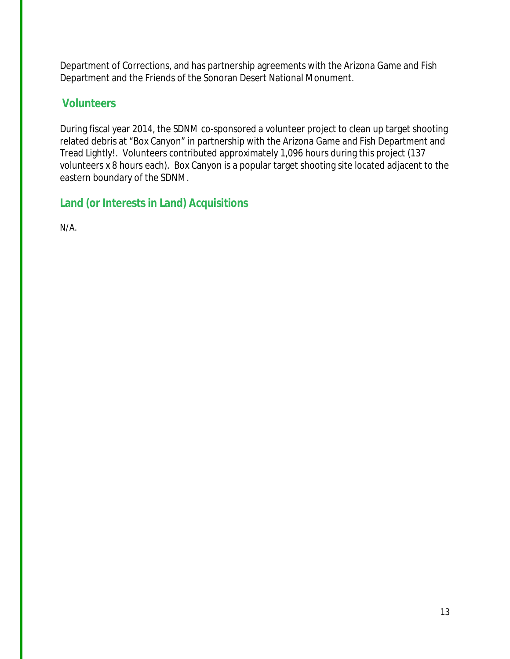Department of Corrections, and has partnership agreements with the Arizona Game and Fish Department and the Friends of the Sonoran Desert National Monument.

#### **Volunteers**

During fiscal year 2014, the SDNM co-sponsored a volunteer project to clean up target shooting related debris at "Box Canyon" in partnership with the Arizona Game and Fish Department and Tread Lightly!. Volunteers contributed approximately 1,096 hours during this project (137 volunteers x 8 hours each). Box Canyon is a popular target shooting site located adjacent to the eastern boundary of the SDNM.

#### **Land (or Interests in Land) Acquisitions**

N/A.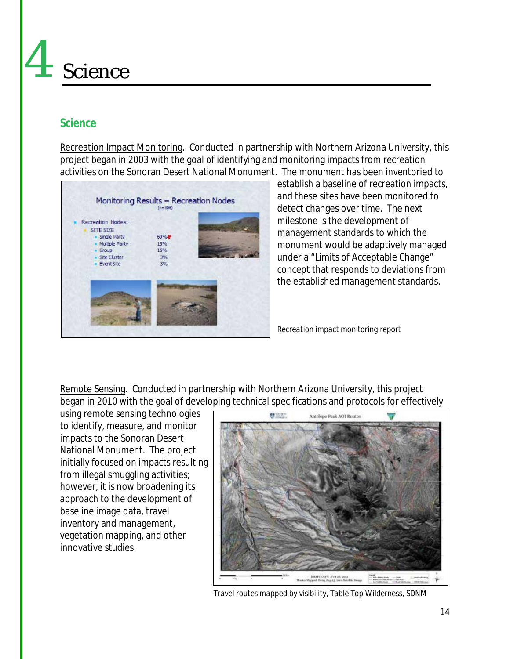## Science 4

#### **Science**

Recreation Impact Monitoring. Conducted in partnership with Northern Arizona University, this project began in 2003 with the goal of identifying and monitoring impacts from recreation activities on the Sonoran Desert National Monument. The monument has been inventoried to



establish a baseline of recreation impacts, and these sites have been monitored to detect changes over time. The next milestone is the development of management standards to which the monument would be adaptively managed under a "Limits of Acceptable Change" concept that responds to deviations from the established management standards.

*Recreation impact monitoring report*

Remote Sensing. Conducted in partnership with Northern Arizona University, this project began in 2010 with the goal of developing technical specifications and protocols for effectively

using remote sensing technologies to identify, measure, and monitor impacts to the Sonoran Desert National Monument. The project initially focused on impacts resulting from illegal smuggling activities; however, it is now broadening its approach to the development of baseline image data, travel inventory and management, vegetation mapping, and other innovative studies.



*Travel routes mapped by visibility, Table Top Wilderness, SDNM*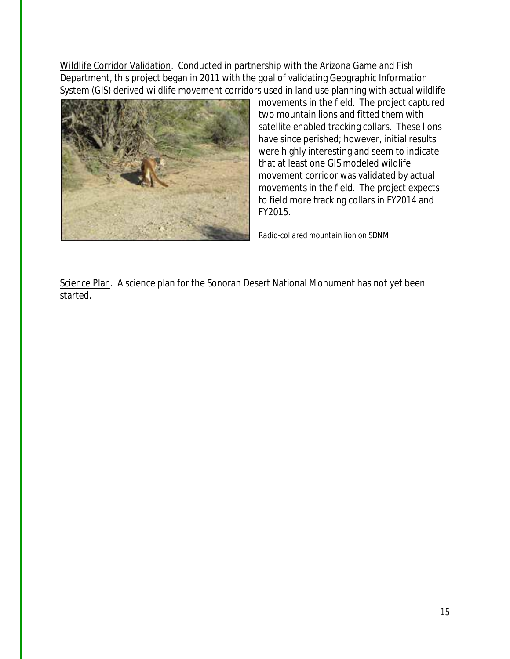Wildlife Corridor Validation. Conducted in partnership with the Arizona Game and Fish Department, this project began in 2011 with the goal of validating Geographic Information System (GIS) derived wildlife movement corridors used in land use planning with actual wildlife



movements in the field. The project captured two mountain lions and fitted them with satellite enabled tracking collars. These lions have since perished; however, initial results were highly interesting and seem to indicate that at least one GIS modeled wildlife movement corridor was validated by actual movements in the field. The project expects to field more tracking collars in FY2014 and FY2015.

*Radio-collared mountain lion on SDNM*

Science Plan. A science plan for the Sonoran Desert National Monument has not yet been started.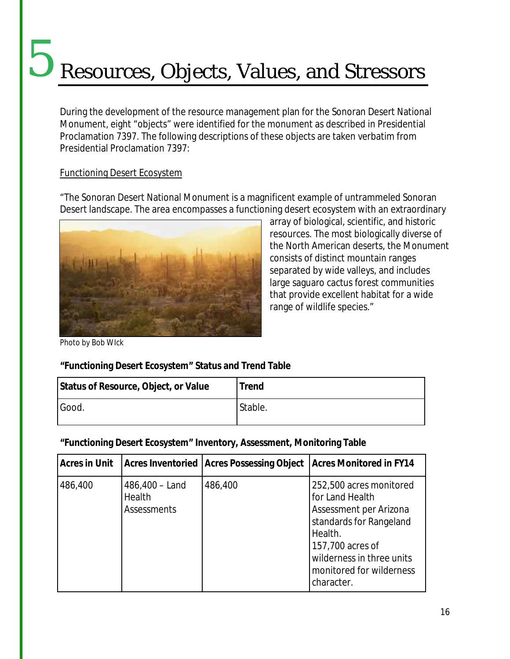## Resources, Objects, Values, and Stressors 5

During the development of the resource management plan for the Sonoran Desert National Monument, eight "objects" were identified for the monument as described in Presidential Proclamation 7397. The following descriptions of these objects are taken verbatim from Presidential Proclamation 7397:

#### Functioning Desert Ecosystem

"The Sonoran Desert National Monument is a magnificent example of untrammeled Sonoran Desert landscape. The area encompasses a functioning desert ecosystem with an extraordinary



array of biological, scientific, and historic resources. The most biologically diverse of the North American deserts, the Monument consists of distinct mountain ranges separated by wide valleys, and includes large saguaro cactus forest communities that provide excellent habitat for a wide range of wildlife species."

*Photo by Bob WIck*

#### **"Functioning Desert Ecosystem" Status and Trend Table**

| Status of Resource, Object, or Value | <b>Trend</b> |
|--------------------------------------|--------------|
| Good.                                | Stable.      |

**"Functioning Desert Ecosystem" Inventory, Assessment, Monitoring Table**

| <b>Acres in Unit</b> |                                                  | Acres Inventoried   Acres Possessing Object | <b>Acres Monitored in FY14</b>                                                                                                                                                                        |
|----------------------|--------------------------------------------------|---------------------------------------------|-------------------------------------------------------------------------------------------------------------------------------------------------------------------------------------------------------|
| 486,400              | $486,400 -$ Land<br>Health<br><b>Assessments</b> | 486,400                                     | 252,500 acres monitored<br>for Land Health<br>Assessment per Arizona<br>standards for Rangeland<br>Health.<br>157,700 acres of<br>wilderness in three units<br>monitored for wilderness<br>character. |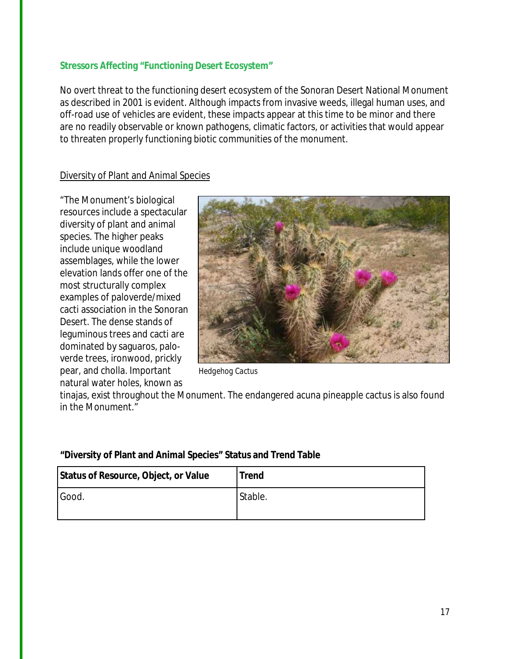#### **Stressors Affecting "Functioning Desert Ecosystem"**

No overt threat to the functioning desert ecosystem of the Sonoran Desert National Monument as described in 2001 is evident. Although impacts from invasive weeds, illegal human uses, and off-road use of vehicles are evident, these impacts appear at this time to be minor and there are no readily observable or known pathogens, climatic factors, or activities that would appear to threaten properly functioning biotic communities of the monument.

#### Diversity of Plant and Animal Species

"The Monument's biological resources include a spectacular diversity of plant and animal species. The higher peaks include unique woodland assemblages, while the lower elevation lands offer one of the most structurally complex examples of paloverde/mixed cacti association in the Sonoran Desert. The dense stands of leguminous trees and cacti are dominated by saguaros, paloverde trees, ironwood, prickly pear, and cholla. Important *Hedgehog Cactus* natural water holes, known as



tinajas, exist throughout the Monument. The endangered acuna pineapple cactus is also found in the Monument."

| Status of Resource, Object, or Value | <b>Trend</b> |
|--------------------------------------|--------------|
| Good.                                | Stable.      |

#### **"Diversity of Plant and Animal Species" Status and Trend Table**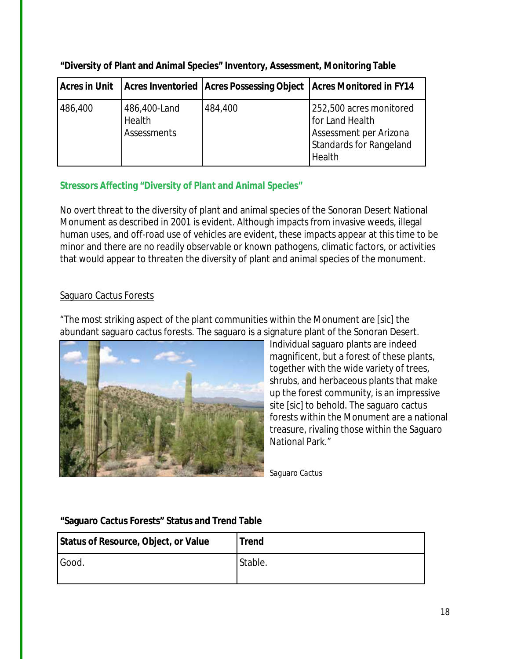| Acres in Unit |                                              |         | Acres Inventoried   Acres Possessing Object   Acres Monitored in FY14                                     |
|---------------|----------------------------------------------|---------|-----------------------------------------------------------------------------------------------------------|
| 486,400       | 486,400-Land<br>Health<br><b>Assessments</b> | 484,400 | 252,500 acres monitored<br>for Land Health<br>Assessment per Arizona<br>Standards for Rangeland<br>Health |

**"Diversity of Plant and Animal Species" Inventory, Assessment, Monitoring Table**

#### **Stressors Affecting "Diversity of Plant and Animal Species"**

No overt threat to the diversity of plant and animal species of the Sonoran Desert National Monument as described in 2001 is evident. Although impacts from invasive weeds, illegal human uses, and off-road use of vehicles are evident, these impacts appear at this time to be minor and there are no readily observable or known pathogens, climatic factors, or activities that would appear to threaten the diversity of plant and animal species of the monument.

#### Saguaro Cactus Forests

"The most striking aspect of the plant communities within the Monument are [sic] the abundant saguaro cactus forests. The saguaro is a signature plant of the Sonoran Desert.



Individual saguaro plants are indeed magnificent, but a forest of these plants, together with the wide variety of trees, shrubs, and herbaceous plants that make up the forest community, is an impressive site [sic] to behold. The saguaro cactus forests within the Monument are a national treasure, rivaling those within the Saguaro National Park."

*Saguaro Cactus*

#### **"Saguaro Cactus Forests" Status and Trend Table**

| Status of Resource, Object, or Value | <b>Trend</b> |
|--------------------------------------|--------------|
| Good.                                | Stable.      |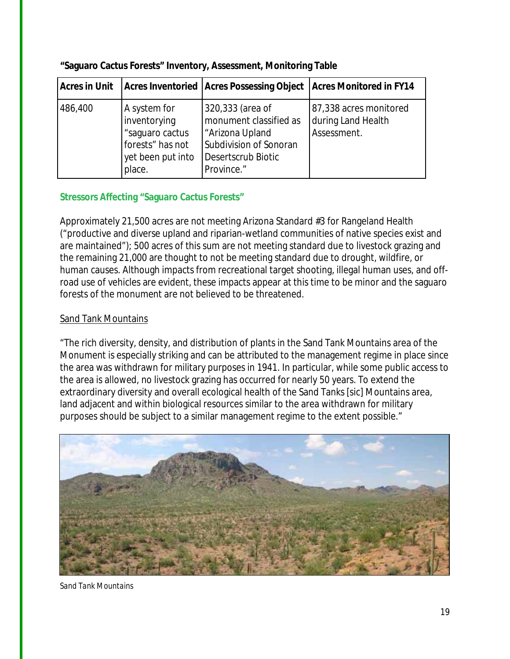| <b>Acres in Unit</b> |                                                                                                    | Acres Inventoried   Acres Possessing Object   Acres Monitored in FY14                                                       |                                                             |
|----------------------|----------------------------------------------------------------------------------------------------|-----------------------------------------------------------------------------------------------------------------------------|-------------------------------------------------------------|
| 486,400              | A system for<br>inventorying<br>"saguaro cactus<br>forests" has not<br>yet been put into<br>place. | 320,333 (area of<br>monument classified as<br>"Arizona Upland<br>Subdivision of Sonoran<br>Desertscrub Biotic<br>Province." | 87,338 acres monitored<br>during Land Health<br>Assessment. |

**"Saguaro Cactus Forests" Inventory, Assessment, Monitoring Table**

#### **Stressors Affecting "Saguaro Cactus Forests"**

Approximately 21,500 acres are not meeting Arizona Standard #3 for Rangeland Health ("productive and diverse upland and riparian-wetland communities of native species exist and are maintained"); 500 acres of this sum are not meeting standard due to livestock grazing and the remaining 21,000 are thought to not be meeting standard due to drought, wildfire, or human causes. Although impacts from recreational target shooting, illegal human uses, and offroad use of vehicles are evident, these impacts appear at this time to be minor and the saguaro forests of the monument are not believed to be threatened.

#### Sand Tank Mountains

"The rich diversity, density, and distribution of plants in the Sand Tank Mountains area of the Monument is especially striking and can be attributed to the management regime in place since the area was withdrawn for military purposes in 1941. In particular, while some public access to the area is allowed, no livestock grazing has occurred for nearly 50 years. To extend the extraordinary diversity and overall ecological health of the Sand Tanks [sic] Mountains area, land adjacent and within biological resources similar to the area withdrawn for military purposes should be subject to a similar management regime to the extent possible."



*Sand Tank Mountains*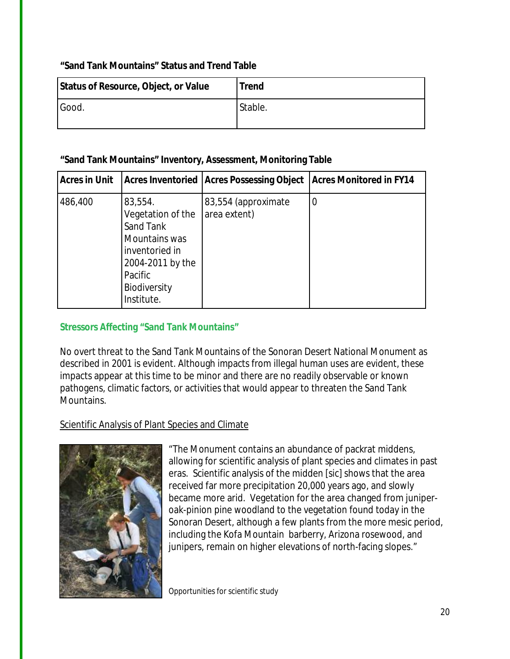#### **"Sand Tank Mountains" Status and Trend Table**

| Status of Resource, Object, or Value | <b>Trend</b> |
|--------------------------------------|--------------|
| Good.                                | Stable.      |

#### **"Sand Tank Mountains" Inventory, Assessment, Monitoring Table**

| <b>Acres in Unit</b> |                                                                                                                                           | Acres Inventoried   Acres Possessing Object | <b>Acres Monitored in FY14</b> |
|----------------------|-------------------------------------------------------------------------------------------------------------------------------------------|---------------------------------------------|--------------------------------|
| 486,400              | 83,554.<br>Vegetation of the<br>Sand Tank<br>Mountains was<br>inventoried in<br>2004-2011 by the<br>Pacific<br>Biodiversity<br>Institute. | 83,554 (approximate<br>area extent)         | $\overline{0}$                 |

#### **Stressors Affecting "Sand Tank Mountains"**

No overt threat to the Sand Tank Mountains of the Sonoran Desert National Monument as described in 2001 is evident. Although impacts from illegal human uses are evident, these impacts appear at this time to be minor and there are no readily observable or known pathogens, climatic factors, or activities that would appear to threaten the Sand Tank Mountains.

#### Scientific Analysis of Plant Species and Climate



"The Monument contains an abundance of packrat middens, allowing for scientific analysis of plant species and climates in past eras. Scientific analysis of the midden [sic] shows that the area received far more precipitation 20,000 years ago, and slowly became more arid. Vegetation for the area changed from juniperoak-pinion pine woodland to the vegetation found today in the Sonoran Desert, although a few plants from the more mesic period, including the Kofa Mountain barberry, Arizona rosewood, and junipers, remain on higher elevations of north-facing slopes."

*Opportunities for scientific study*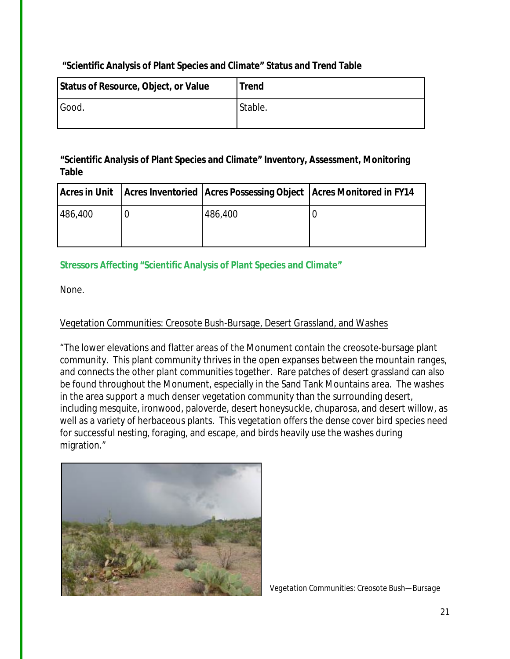#### **"Scientific Analysis of Plant Species and Climate" Status and Trend Table**

| Status of Resource, Object, or Value | <b>Trend</b> |
|--------------------------------------|--------------|
| Good.                                | Stable.      |

#### **"Scientific Analysis of Plant Species and Climate" Inventory, Assessment, Monitoring Table**

|         |         | Acres in Unit   Acres Inventoried   Acres Possessing Object   Acres Monitored in FY14 |
|---------|---------|---------------------------------------------------------------------------------------|
|         | 486,400 |                                                                                       |
| 486,400 |         |                                                                                       |

#### **Stressors Affecting "Scientific Analysis of Plant Species and Climate"**

None.

#### Vegetation Communities: Creosote Bush-Bursage, Desert Grassland, and Washes

"The lower elevations and flatter areas of the Monument contain the creosote-bursage plant community. This plant community thrives in the open expanses between the mountain ranges, and connects the other plant communities together. Rare patches of desert grassland can also be found throughout the Monument, especially in the Sand Tank Mountains area. The washes in the area support a much denser vegetation community than the surrounding desert, including mesquite, ironwood, paloverde, desert honeysuckle, chuparosa, and desert willow, as well as a variety of herbaceous plants. This vegetation offers the dense cover bird species need for successful nesting, foraging, and escape, and birds heavily use the washes during migration."



*Vegetation Communities: Creosote Bush—Bursage*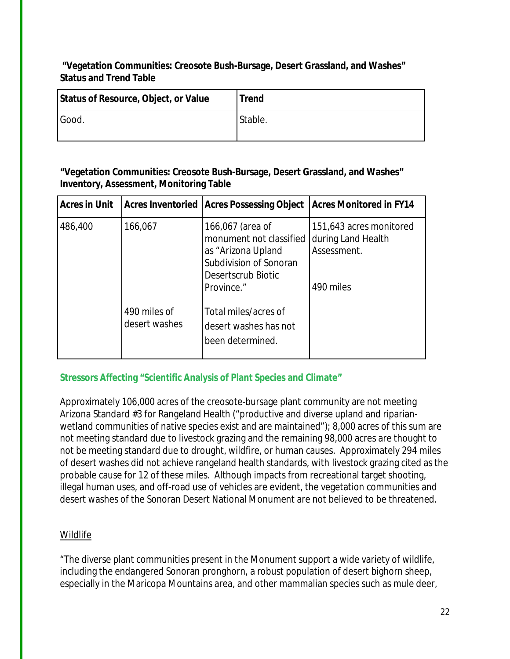**"Vegetation Communities: Creosote Bush-Bursage, Desert Grassland, and Washes" Status and Trend Table**

| Status of Resource, Object, or Value | <b>Trend</b> |
|--------------------------------------|--------------|
| Good.                                | Stable.      |

**"Vegetation Communities: Creosote Bush-Bursage, Desert Grassland, and Washes" Inventory, Assessment, Monitoring Table**

| <b>Acres in Unit</b> | <b>Acres Inventoried</b>      | <b>Acres Possessing Object</b>                                                                                                  | <b>Acres Monitored in FY14</b>                                            |
|----------------------|-------------------------------|---------------------------------------------------------------------------------------------------------------------------------|---------------------------------------------------------------------------|
| 486,400              | 166,067                       | 166,067 (area of<br>monument not classified<br>as "Arizona Upland<br>Subdivision of Sonoran<br>Desertscrub Biotic<br>Province." | 151,643 acres monitored<br>during Land Health<br>Assessment.<br>490 miles |
|                      | 490 miles of<br>desert washes | Total miles/acres of<br>desert washes has not<br>been determined.                                                               |                                                                           |

#### **Stressors Affecting "Scientific Analysis of Plant Species and Climate"**

Approximately 106,000 acres of the creosote-bursage plant community are not meeting Arizona Standard #3 for Rangeland Health ("productive and diverse upland and riparianwetland communities of native species exist and are maintained"); 8,000 acres of this sum are not meeting standard due to livestock grazing and the remaining 98,000 acres are thought to not be meeting standard due to drought, wildfire, or human causes. Approximately 294 miles of desert washes did not achieve rangeland health standards, with livestock grazing cited as the probable cause for 12 of these miles. Although impacts from recreational target shooting, illegal human uses, and off-road use of vehicles are evident, the vegetation communities and desert washes of the Sonoran Desert National Monument are not believed to be threatened.

#### Wildlife

"The diverse plant communities present in the Monument support a wide variety of wildlife, including the endangered Sonoran pronghorn, a robust population of desert bighorn sheep, especially in the Maricopa Mountains area, and other mammalian species such as mule deer,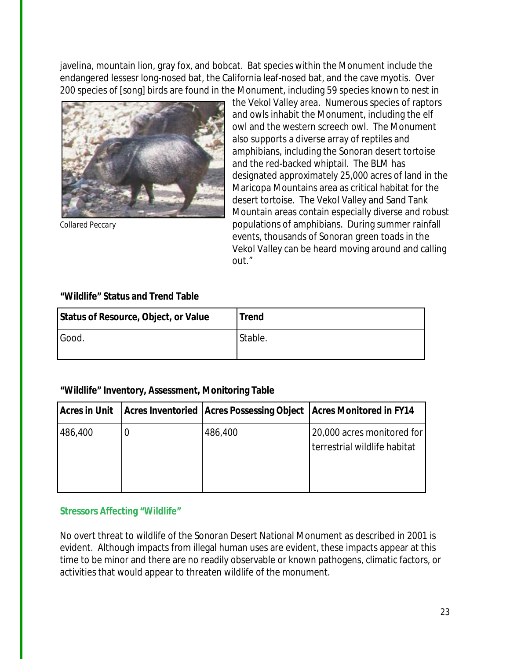javelina, mountain lion, gray fox, and bobcat. Bat species within the Monument include the endangered lessesr long-nosed bat, the California leaf-nosed bat, and the cave myotis. Over 200 species of [song] birds are found in the Monument, including 59 species known to nest in



the Vekol Valley area. Numerous species of raptors and owls inhabit the Monument, including the elf owl and the western screech owl. The Monument also supports a diverse array of reptiles and amphibians, including the Sonoran desert tortoise and the red-backed whiptail. The BLM has designated approximately 25,000 acres of land in the Maricopa Mountains area as critical habitat for the desert tortoise. The Vekol Valley and Sand Tank Mountain areas contain especially diverse and robust *Collared Peccary* populations of amphibians. During summer rainfall events, thousands of Sonoran green toads in the Vekol Valley can be heard moving around and calling out."

#### **"Wildlife" Status and Trend Table**

| Status of Resource, Object, or Value | <b>Trend</b> |
|--------------------------------------|--------------|
| Good.                                | Stable.      |

#### **"Wildlife" Inventory, Assessment, Monitoring Table**

| Acres in Unit |         | Acres Inventoried   Acres Possessing Object   Acres Monitored in FY14 |
|---------------|---------|-----------------------------------------------------------------------|
| 486,400       | 486,400 | 20,000 acres monitored for<br>terrestrial wildlife habitat            |

#### **Stressors Affecting "Wildlife"**

No overt threat to wildlife of the Sonoran Desert National Monument as described in 2001 is evident. Although impacts from illegal human uses are evident, these impacts appear at this time to be minor and there are no readily observable or known pathogens, climatic factors, or activities that would appear to threaten wildlife of the monument.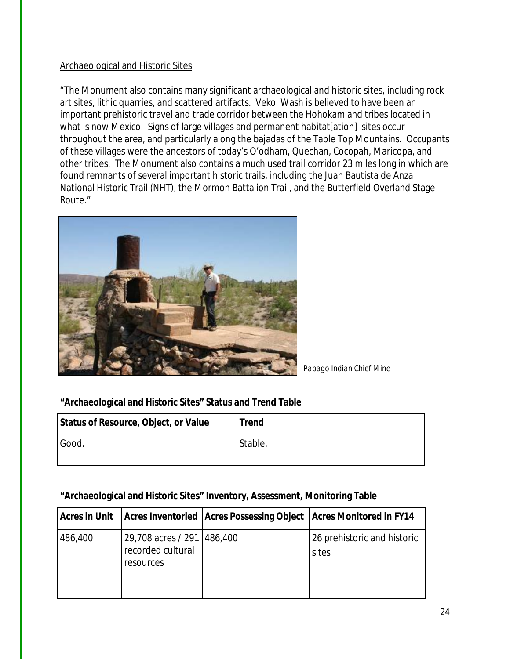#### Archaeological and Historic Sites

"The Monument also contains many significant archaeological and historic sites, including rock art sites, lithic quarries, and scattered artifacts. Vekol Wash is believed to have been an important prehistoric travel and trade corridor between the Hohokam and tribes located in what is now Mexico. Signs of large villages and permanent habitat [ation] sites occur throughout the area, and particularly along the bajadas of the Table Top Mountains. Occupants of these villages were the ancestors of today's O'odham, Quechan, Cocopah, Maricopa, and other tribes. The Monument also contains a much used trail corridor 23 miles long in which are found remnants of several important historic trails, including the Juan Bautista de Anza National Historic Trail (NHT), the Mormon Battalion Trail, and the Butterfield Overland Stage Route."



*Papago Indian Chief Mine*

**"Archaeological and Historic Sites" Status and Trend Table**

| Status of Resource, Object, or Value | Trend   |
|--------------------------------------|---------|
| Good.                                | Stable. |

#### **"Archaeological and Historic Sites" Inventory, Assessment, Monitoring Table**

| Acres in Unit |                                                                | <b>Acres Inventoried Acres Possessing Object Acres Monitored in FY14</b> |                                      |
|---------------|----------------------------------------------------------------|--------------------------------------------------------------------------|--------------------------------------|
| 486,400       | 29,708 acres / 291   486,400<br>recorded cultural<br>resources |                                                                          | 26 prehistoric and historic<br>sites |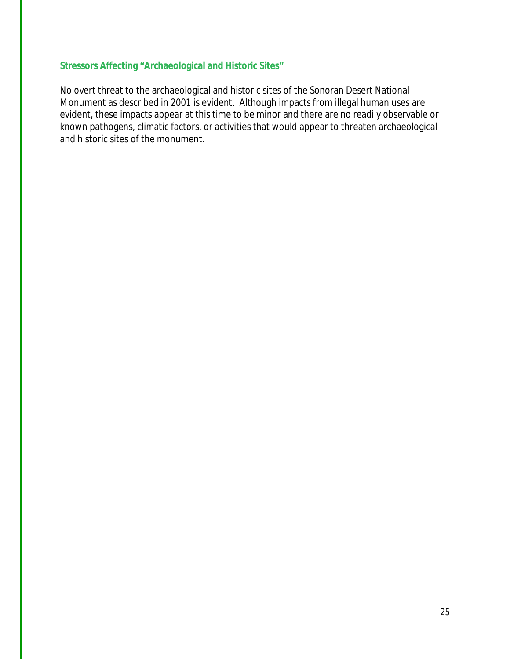#### **Stressors Affecting "Archaeological and Historic Sites"**

No overt threat to the archaeological and historic sites of the Sonoran Desert National Monument as described in 2001 is evident. Although impacts from illegal human uses are evident, these impacts appear at this time to be minor and there are no readily observable or known pathogens, climatic factors, or activities that would appear to threaten archaeological and historic sites of the monument.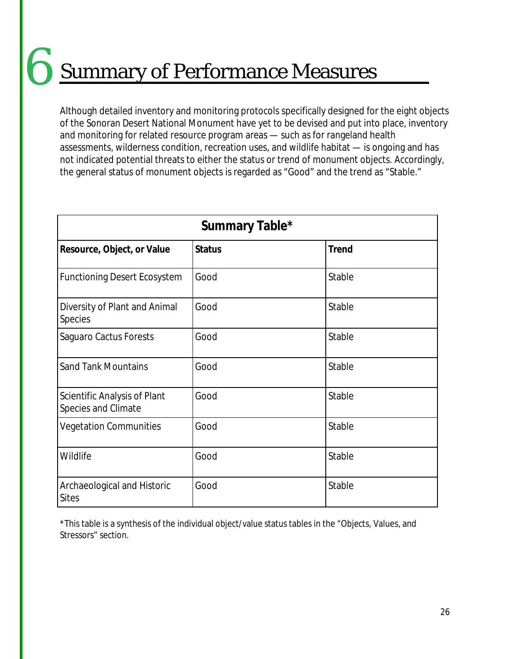## Summary of Performance Measures 6

Although detailed inventory and monitoring protocols specifically designed for the eight objects of the Sonoran Desert National Monument have yet to be devised and put into place, inventory and monitoring for related resource program areas — such as for rangeland health assessments, wilderness condition, recreation uses, and wildlife habitat — is ongoing and has not indicated potential threats to either the status or trend of monument objects. Accordingly, the general status of monument objects is regarded as "Good" and the trend as "Stable."

| Summary Table*                                      |               |              |  |  |
|-----------------------------------------------------|---------------|--------------|--|--|
| Resource, Object, or Value                          | <b>Status</b> | <b>Trend</b> |  |  |
| <b>Functioning Desert Ecosystem</b>                 | Good          | Stable       |  |  |
| Diversity of Plant and Animal<br>Species            | Good          | Stable       |  |  |
| Saguaro Cactus Forests                              | Good          | Stable       |  |  |
| <b>Sand Tank Mountains</b>                          | Good          | Stable       |  |  |
| Scientific Analysis of Plant<br>Species and Climate | Good          | Stable       |  |  |
| <b>Vegetation Communities</b>                       | Good          | Stable       |  |  |
| Wildlife                                            | Good          | Stable       |  |  |
| Archaeological and Historic<br><b>Sites</b>         | Good          | Stable       |  |  |

\*This table is a synthesis of the individual object/value status tables in the "Objects, Values, and Stressors" section.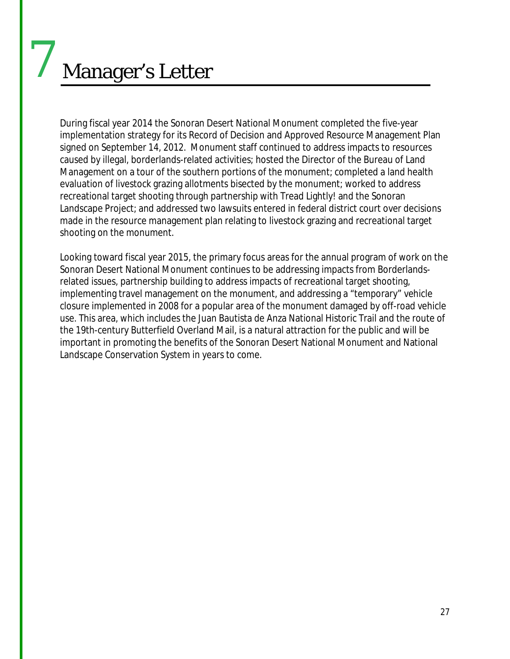# Manager's Letter

7

During fiscal year 2014 the Sonoran Desert National Monument completed the five-year implementation strategy for its Record of Decision and Approved Resource Management Plan signed on September 14, 2012. Monument staff continued to address impacts to resources caused by illegal, borderlands-related activities; hosted the Director of the Bureau of Land Management on a tour of the southern portions of the monument; completed a land health evaluation of livestock grazing allotments bisected by the monument; worked to address recreational target shooting through partnership with Tread Lightly! and the Sonoran Landscape Project; and addressed two lawsuits entered in federal district court over decisions made in the resource management plan relating to livestock grazing and recreational target shooting on the monument.

Looking toward fiscal year 2015, the primary focus areas for the annual program of work on the Sonoran Desert National Monument continues to be addressing impacts from Borderlandsrelated issues, partnership building to address impacts of recreational target shooting, implementing travel management on the monument, and addressing a "temporary" vehicle closure implemented in 2008 for a popular area of the monument damaged by off-road vehicle use. This area, which includes the Juan Bautista de Anza National Historic Trail and the route of the 19th-century Butterfield Overland Mail, is a natural attraction for the public and will be important in promoting the benefits of the Sonoran Desert National Monument and National Landscape Conservation System in years to come.